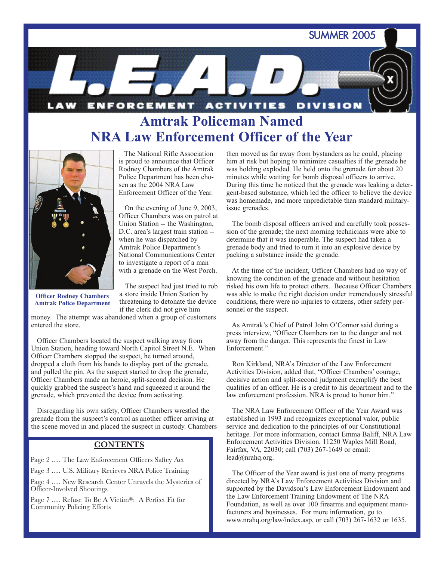SUMMER 2005



# **Amtrak Policeman Named NRA Law Enforcement Officer of the Year**



The National Rifle Association is proud to announce that Officer Rodney Chambers of the Amtrak Police Department has been chosen as the 2004 NRA Law Enforcement Officer of the Year.

On the evening of June 9, 2003, Officer Chambers was on patrol at Union Station -- the Washington, D.C. area's largest train station - when he was dispatched by Amtrak Police Department's National Communications Center to investigate a report of a man with a grenade on the West Porch.

**Officer Rodney Chambers Amtrak Police Department**

The suspect had just tried to rob a store inside Union Station by threatening to detonate the device if the clerk did not give him

money. The attempt was abandoned when a group of customers entered the store.

Officer Chambers located the suspect walking away from Union Station, heading toward North Capitol Street N.E. When Officer Chambers stopped the suspect, he turned around, dropped a cloth from his hands to display part of the grenade, and pulled the pin. As the suspect started to drop the grenade, Officer Chambers made an heroic, split-second decision. He quickly grabbed the suspect's hand and squeezed it around the grenade, which prevented the device from activating.

Disregarding his own safety, Officer Chambers wrestled the grenade from the suspect's control as another officer arriving at the scene moved in and placed the suspect in custody. Chambers

### **CONTENTS**

Page 2 ..... The Law Enforcement Officers Saftey Act

Page 3 ..... U.S. Military Recieves NRA Police Training

Page 4 ..... New Research Center Unravels the Mysteries of Officer-Involved Shootings

Page 7 ..... Refuse To Be A Victim®: A Perfect Fit for Community Policing Efforts

then moved as far away from bystanders as he could, placing him at risk but hoping to minimize casualties if the grenade he was holding exploded. He held onto the grenade for about 20 minutes while waiting for bomb disposal officers to arrive. During this time he noticed that the grenade was leaking a detergent-based substance, which led the officer to believe the device was homemade, and more unpredictable than standard militaryissue grenades.

The bomb disposal officers arrived and carefully took possession of the grenade; the next morning technicians were able to determine that it was inoperable. The suspect had taken a grenade body and tried to turn it into an explosive device by packing a substance inside the grenade.

At the time of the incident, Officer Chambers had no way of knowing the condition of the grenade and without hesitation risked his own life to protect others. Because Officer Chambers was able to make the right decision under tremendously stressful conditions, there were no injuries to citizens, other safety personnel or the suspect.

As Amtrak's Chief of Patrol John O'Connor said during a press interview, "Officer Chambers ran to the danger and not away from the danger. This represents the finest in Law Enforcement."

Ron Kirkland, NRA's Director of the Law Enforcement Activities Division, added that, "Officer Chambers' courage, decisive action and split-second judgment exemplify the best qualities of an officer. He is a credit to his department and to the law enforcement profession. NRA is proud to honor him."

The NRA Law Enforcement Officer of the Year Award was established in 1993 and recognizes exceptional valor, public service and dedication to the principles of our Constitutional heritage. For more information, contact Emma Baliff, NRA Law Enforcement Activities Division, 11250 Waples Mill Road, Fairfax, VA, 22030; call (703) 267-1649 or email: lead@nrahq.org.

The Officer of the Year award is just one of many programs directed by NRA's Law Enforcement Activities Division and supported by the Davidson's Law Enforcement Endowment and the Law Enforcement Training Endowment of The NRA Foundation, as well as over 100 firearms and equipment manufacturers and businesses. For more information, go to www.nrahq.org/law/index.asp, or call (703) 267-1632 or 1635.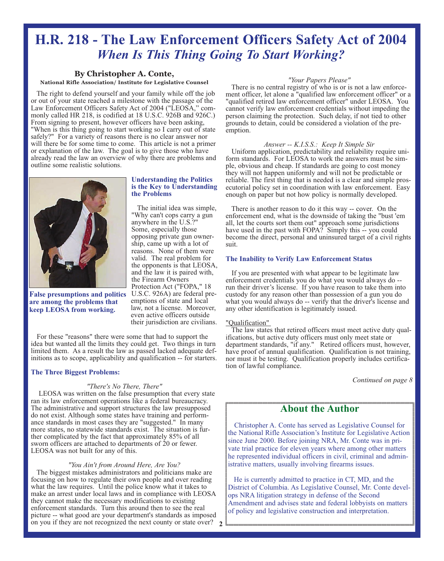# **H.R. 218 - The Law Enforcement Officers Safety Act of 2004** *When Is This Thing Going To Start Working?*

### **By Christopher A. Conte,**

**National Rifle Association/ Institute for Legislative Counsel**

The right to defend yourself and your family while off the job or out of your state reached a milestone with the passage of the Law Enforcement Officers Safety Act of 2004 ("LEOSA," commonly called HR 218, is codified at 18 U.S.C. 926B and 926C.) From signing to present, however officers have been asking, "When is this thing going to start working so I carry out of state safely?" For a variety of reasons there is no clear answer nor will there be for some time to come. This article is not a primer or explanation of the law. The goal is to give those who have already read the law an overview of why there are problems and outline some realistic solutions.



**False presumptions and politics are among the problems that keep LEOSA from working.** 

#### **Understanding the Politics is the Key to Understanding the Problems**

The initial idea was simple, "Why can't cops carry a gun anywhere in the U.S.?" Some, especially those opposing private gun ownership, came up with a lot of reasons. None of them were valid. The real problem for the opponents is that LEOSA, and the law it is paired with, the Firearm Owners Protection Act ("FOPA," 18 U.S.C. 926A) are federal preemptions of state and local law, not a license. Moreover, even active officers outside their jurisdiction are civilians.

For these "reasons" there were some that had to support the idea but wanted all the limits they could get. Two things in turn limited them. As a result the law as passed lacked adequate definitions as to scope, applicability and qualification -- for starters.

#### **The Three Biggest Problems:**

#### *"There's No There, There"*

LEOSA was written on the false presumption that every state ran its law enforcement operations like a federal bureaucracy. The administrative and support structures the law presupposed do not exist. Although some states have training and performance standards in most cases they are "suggested." In many more states, no statewide standards exist. The situation is further complicated by the fact that approximately 85% of all sworn officers are attached to departments of 20 or fewer. LEOSA was not built for any of this.

#### *"You Ain't from Around Here, Are You?*

The biggest mistakes administrators and politicians make are focusing on how to regulate their own people and over reading what the law requires. Until the police know what it takes to make an arrest under local laws and in compliance with LEOSA they cannot make the necessary modifications to existing enforcement standards. Turn this around then to see the real picture -- what good are your department's standards as imposed on you if they are not recognized the next county or state over? **2**

#### *"Your Papers Please"*

There is no central registry of who is or is not a law enforcement officer, let alone a "qualified law enforcement officer" or a "qualified retired law enforcement officer" under LEOSA. You cannot verify law enforcement credentials without impeding the person claiming the protection. Such delay, if not tied to other grounds to detain, could be considered a violation of the preemption.

#### *Answer -- K.I.S.S.: Keep It Simple Sir*

Uniform application, predictability and reliability require uniform standards. For LEOSA to work the answers must be simple, obvious and cheap. If standards are going to cost money they will not happen uniformly and will not be predictable or reliable. The first thing that is needed is a clear and simple prosecutorial policy set in coordination with law enforcement. Easy enough on paper but not how policy is normally developed.

There is another reason to do it this way -- cover. On the enforcement end, what is the downside of taking the "bust 'em all, let the courts sort them out" approach some jurisdictions have used in the past with FOPA? Simply this -- you could become the direct, personal and uninsured target of a civil rights suit.

#### **The Inability to Verify Law Enforcement Status**

If you are presented with what appear to be legitimate law enforcement credentials you do what you would always do - run their driver's license. If you have reason to take them into custody for any reason other than possession of a gun you do what you would always do -- verify that the driver's license and any other identification is legitimately issued.

#### "Qualification"

The law states that retired officers must meet active duty qualifications, but active duty officers must only meet state or department standards, "if any." Retired officers must, however, have proof of annual qualification. Qualification is not training, nor must it be testing. Qualification properly includes certification of lawful compliance.

*Continued on page 8*

## **About the Author**

Christopher A. Conte has served as Legislative Counsel for the National Rifle Association's Institute for Legislative Action since June 2000. Before joining NRA, Mr. Conte was in private trial practice for eleven years where among other matters he represented individual officers in civil, criminal and administrative matters, usually involving firearms issues.

He is currently admitted to practice in CT, MD, and the District of Columbia. As Legislative Counsel, Mr. Conte develops NRA litigation strategy in defense of the Second Amendment and advises state and federal lobbyists on matters of policy and legislative construction and interpretation.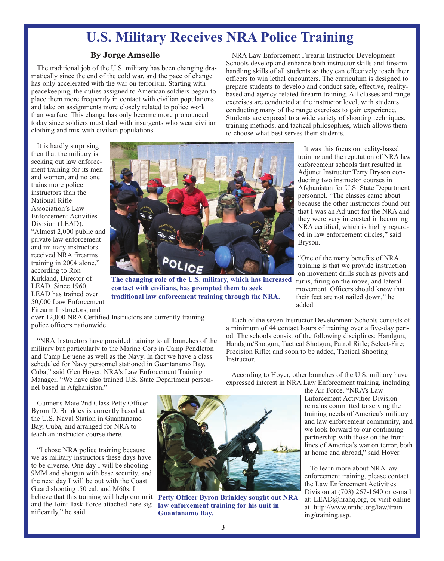# **U.S. Military Receives NRA Police Training**

#### **By Jorge Amselle**

The traditional job of the U.S. military has been changing dramatically since the end of the cold war, and the pace of change has only accelerated with the war on terrorism. Starting with peacekeeping, the duties assigned to American soldiers began to place them more frequently in contact with civilian populations and take on assignments more closely related to police work than warfare. This change has only become more pronounced today since soldiers must deal with insurgents who wear civilian clothing and mix with civilian populations.

NRA Law Enforcement Firearm Instructor Development Schools develop and enhance both instructor skills and firearm handling skills of all students so they can effectively teach their officers to win lethal encounters. The curriculum is designed to prepare students to develop and conduct safe, effective, realitybased and agency-related firearm training. All classes and range exercises are conducted at the instructor level, with students conducting many of the range exercises to gain experience. Students are exposed to a wide variety of shooting techniques, training methods, and tactical philosophies, which allows them to choose what best serves their students.

It is hardly surprising then that the military is seeking out law enforcement training for its men and women, and no one trains more police instructors than the National Rifle Association's Law Enforcement Activities Division (LEAD). "Almost 2,000 public and private law enforcement and military instructors received NRA firearms training in 2004 alone," according to Ron Kirkland, Director of LEAD. Since 1960, LEAD has trained over 50,000 Law Enforcement Firearm Instructors, and



**contact with civilians, has prompted them to seek traditional law enforcement training through the NRA.**

It was this focus on reality-based training and the reputation of NRA law enforcement schools that resulted in Adjunct Instructor Terry Bryson conducting two instructor courses in Afghanistan for U.S. State Department personnel. "The classes came about because the other instructors found out that I was an Adjunct for the NRA and they were very interested in becoming NRA certified, which is highly regarded in law enforcement circles," said Bryson.

"One of the many benefits of NRA training is that we provide instruction on movement drills such as pivots and turns, firing on the move, and lateral movement. Officers should know that their feet are not nailed down," he added.

over 12,000 NRA Certified Instructors are currently training police officers nationwide.

"NRA Instructors have provided training to all branches of the military but particularly to the Marine Corp in Camp Pendleton and Camp Lejuene as well as the Navy. In fact we have a class scheduled for Navy personnel stationed in Guantanamo Bay, Cuba," said Glen Hoyer, NRA's Law Enforcement Training Manager. "We have also trained U.S. State Department personnel based in Afghanistan."

Gunner's Mate 2nd Class Petty Officer Byron D. Brinkley is currently based at the U.S. Naval Station in Guantanamo Bay, Cuba, and arranged for NRA to teach an instructor course there.

"I chose NRA police training because we as military instructors these days have to be diverse. One day I will be shooting 9MM and shotgun with base security, and the next day I will be out with the Coast Guard shooting .50 cal. and M60s. I believe that this training will help our unit **Petty Officer Byron Brinkley sought out NRA** nificantly," he said.



and the Joint Task Force attached here sig-**law enforcement training for his unit in Guantanamo Bay.**

Each of the seven Instructor Development Schools consists of a minimum of 44 contact hours of training over a five-day period. The schools consist of the following disciplines: Handgun; Handgun/Shotgun; Tactical Shotgun; Patrol Rifle; Select-Fire; Precision Rifle; and soon to be added, Tactical Shooting Instructor.

According to Hoyer, other branches of the U.S. military have expressed interest in NRA Law Enforcement training, including

> the Air Force. "NRA's Law Enforcement Activities Division remains committed to serving the training needs of America's military and law enforcement community, and we look forward to our continuing partnership with those on the front lines of America's war on terror, both at home and abroad," said Hoyer.

To learn more about NRA law enforcement training, please contact the Law Enforcement Activities Division at (703) 267-1640 or e-mail at: LEAD@nrahq.org, or visit online at http://www.nrahq.org/law/training/training.asp.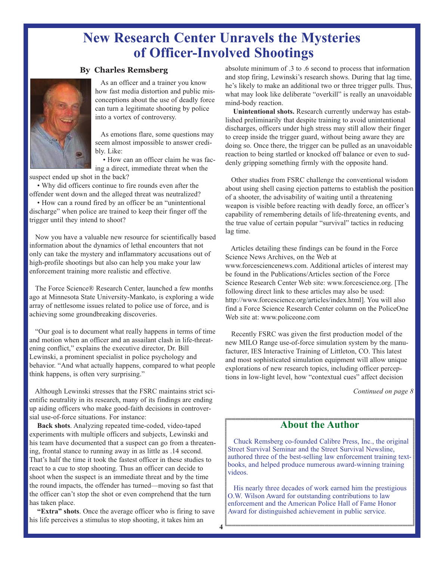# **New Research Center Unravels the Mysteries of Officer-Involved Shootings**

**4**

### **By Charles Remsberg**



As an officer and a trainer you know how fast media distortion and public misconceptions about the use of deadly force can turn a legitimate shooting by police into a vortex of controversy.

As emotions flare, some questions may seem almost impossible to answer credibly. Like:

• How can an officer claim he was facing a direct, immediate threat when the

suspect ended up shot in the back?

• Why did officers continue to fire rounds even after the offender went down and the alleged threat was neutralized?

• How can a round fired by an officer be an "unintentional discharge" when police are trained to keep their finger off the trigger until they intend to shoot?

Now you have a valuable new resource for scientifically based information about the dynamics of lethal encounters that not only can take the mystery and inflammatory accusations out of high-profile shootings but also can help you make your law enforcement training more realistic and effective.

The Force Science® Research Center, launched a few months ago at Minnesota State University-Mankato, is exploring a wide array of nettlesome issues related to police use of force, and is achieving some groundbreaking discoveries.

"Our goal is to document what really happens in terms of time and motion when an officer and an assailant clash in life-threatening conflict," explains the executive director, Dr. Bill Lewinski, a prominent specialist in police psychology and behavior. "And what actually happens, compared to what people think happens, is often very surprising."

Although Lewinski stresses that the FSRC maintains strict scientific neutrality in its research, many of its findings are ending up aiding officers who make good-faith decisions in controversial use-of-force situations. For instance:

**Back shots**. Analyzing repeated time-coded, video-taped experiments with multiple officers and subjects, Lewinski and his team have documented that a suspect can go from a threatening, frontal stance to running away in as little as .14 second. That's half the time it took the fastest officer in these studies to react to a cue to stop shooting. Thus an officer can decide to shoot when the suspect is an immediate threat and by the time the round impacts, the offender has turned—moving so fast that the officer can't stop the shot or even comprehend that the turn has taken place.

**"Extra" shots**. Once the average officer who is firing to save his life perceives a stimulus to stop shooting, it takes him an

absolute minimum of .3 to .6 second to process that information and stop firing, Lewinski's research shows. During that lag time, he's likely to make an additional two or three trigger pulls. Thus, what may look like deliberate "overkill" is really an unavoidable mind-body reaction.

**Unintentional shots.** Research currently underway has established preliminarily that despite training to avoid unintentional discharges, officers under high stress may still allow their finger to creep inside the trigger guard, without being aware they are doing so. Once there, the trigger can be pulled as an unavoidable reaction to being startled or knocked off balance or even to suddenly gripping something firmly with the opposite hand.

Other studies from FSRC challenge the conventional wisdom about using shell casing ejection patterns to establish the position of a shooter, the advisability of waiting until a threatening weapon is visible before reacting with deadly force, an officer's capability of remembering details of life-threatening events, and the true value of certain popular "survival" tactics in reducing lag time.

Articles detailing these findings can be found in the Force Science News Archives, on the Web at www.forcesciencenews.com. Additional articles of interest may be found in the Publications/Articles section of the Force Science Research Center Web site: www.forcescience.org. [The following direct link to these articles may also be used: http://www.forcescience.org/articles/index.html]. You will also find a Force Science Research Center column on the PoliceOne Web site at: www.policeone.com

Recently FSRC was given the first production model of the new MILO Range use-of-force simulation system by the manufacturer, IES Interactive Training of Littleton, CO. This latest and most sophisticated simulation equipment will allow unique explorations of new research topics, including officer perceptions in low-light level, how "contextual cues" affect decision

*Continued on page 8* 

### **About the Author**

Chuck Remsberg co-founded Calibre Press, Inc., the original Street Survival Seminar and the Street Survival Newsline, authored three of the best-selling law enforcement training textbooks, and helped produce numerous award-winning training videos.

His nearly three decades of work earned him the prestigious O.W. Wilson Award for outstanding contributions to law enforcement and the American Police Hall of Fame Honor Award for distinguished achievement in public service.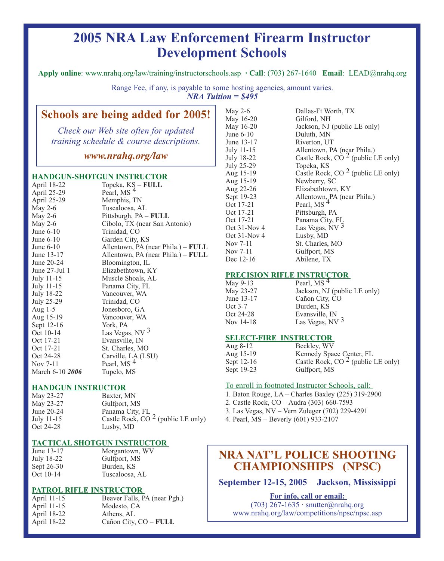# **2005 NRA Law Enforcement Firearm Instructor Development Schools**

**Apply online**: www.nrahq.org/law/training/instructorschools.asp **· Call**: (703) 267-1640 **Email**: LEAD@nrahq.org

Range Fee, if any, is payable to some hosting agencies, amount varies. *NRA Tuition = \$495*

# **Schools are being added for 2005!**

*Check our Web site often for updated training schedule & course descriptions.*

*www.nrahq.org/law*

#### **HANDGUN-SHOTGUN INSTRUCTOR**

| April 18-22       | Topeka, KS - FULL                         |
|-------------------|-------------------------------------------|
| April 25-29       | Pearl, MS <sup>4</sup>                    |
| April 25-29       | Memphis, TN                               |
| May $2-6$         | Tuscaloosa, AL                            |
| May 2-6           | Pittsburgh, PA - FULL                     |
| May $2-6$         | Cibolo, TX (near San Antonio)             |
| June 6-10         | Trinidad, CO                              |
| June $6-10$       | Garden City, KS                           |
| June $6-10$       | Allentown, PA (near Phila.) – <b>FULL</b> |
| June 13-17        | Allentown, PA (near Phila.) – FULL        |
| June 20-24        | Bloomington, IL                           |
| June 27-Jul 1     | Elizabethtown, KY                         |
| July 11-15        | Muscle Shoals, AL                         |
| July 11-15        | Panama City, FL                           |
| July 18-22        | Vancouver, WA                             |
| <b>July 25-29</b> | Trinidad, CO                              |
| Aug $1-5$         | Jonesboro, GA                             |
| Aug 15-19         | Vancouver, WA                             |
| Sept 12-16        | York, PA                                  |
| Oct 10-14         | Las Vegas, NV 3                           |
| Oct 17-21         | Evansville, IN                            |
| Oct 17-21         | St. Charles, MO                           |
| Oct 24-28         | Carville, LA (LSU)                        |
| Nov 7-11          | Pearl, MS <sup>4</sup>                    |
| March 6-10 2006   | Tupelo, MS                                |

#### **HANDGUN INSTRUCTOR**

| May 23-27  | Baxter, MN                          |
|------------|-------------------------------------|
| May 23-27  | Gulfport, MS                        |
| June 20-24 | Panama City, FL                     |
| July 11-15 | Castle Rock, $CO2$ (public LE only) |
| Oct 24-28  | Lusby, MD                           |
|            |                                     |

#### **TACTICAL SHOTGUN INSTRUCTOR**

| June 13-17 | Morgantown, WV |
|------------|----------------|
| July 18-22 | Gulfport, MS   |
| Sept 26-30 | Burden, KS     |
| Oct 10-14  | Tuscaloosa, AL |

#### **PATROL RIFLE INSTRUCTOR**

| April 11-15 | Beaver Falls, PA (near Pgh.) |
|-------------|------------------------------|
| April 11-15 | Modesto, CA                  |
| April 18-22 | Athens, AL                   |
| April 18-22 | Cañon City, CO - FULL        |

| May 2-6      | Dallas-Ft Worth, TX                   |
|--------------|---------------------------------------|
| May 16-20    | Gilford, NH                           |
| May 16-20    | Jackson, NJ (public LE only)          |
| June 6-10    | Duluth, MN                            |
| June 13-17   | Riverton, UT                          |
| July 11-15   | Allentown, PA (near Phila.)           |
| July 18-22   | Castle Rock, CO $^2$ (public LE only) |
| July 25-29   | Topeka, KS                            |
| Aug 15-19    | Castle Rock, CO $2$ (public LE only)  |
| Aug 15-19    | Newberry, SC                          |
| Aug 22-26    | Elizabethtown, KY                     |
| Sept 19-23   | Allentown, PA (near Phila.)           |
| Oct 17-21    | Pearl, MS <sup>4</sup>                |
| Oct 17-21    | Pittsburgh, PA                        |
| Oct 17-21    | Panama City, FL                       |
| Oct 31-Nov 4 | Las Vegas, NV $^3$                    |
| Oct 31-Nov 4 | Lusby, MD                             |
| Nov 7-11     | St. Charles, MO                       |
| Nov 7-11     | Gulfport, MS                          |
| Dec 12-16    | Abilene, TX                           |

#### **PRECISION RIFLE INSTRUCTOR**

| May 9-13   | Pearl, MS $4$                |
|------------|------------------------------|
| May 23-27  | Jackson, NJ (public LE only) |
| June 13-17 | Cañon City, CO               |
| Oct 3-7    | Burden, KS                   |
| Oct 24-28  | Evansville, IN               |
| Nov 14-18  | Las Vegas, NV $3$            |
|            |                              |

#### **SELECT-FIRE INSTRUCTOR**

| Aug $8-12$  | Beckley, WV                           |
|-------------|---------------------------------------|
| Aug $15-19$ | Kennedy Space Center, FL              |
| Sept 12-16  | Castle Rock, CO $^2$ (public LE only) |
| Sept 19-23  | Gulfport, MS                          |

#### To enroll in footnoted Instructor Schools, call:

- 1. Baton Rouge, LA Charles Baxley (225) 319-2900
- 2. Castle Rock, CO Audra (303) 660-7593
- 3. Las Vegas, NV Vern Zuleger (702) 229-4291
- 4. Pearl, MS Beverly (601) 933-2107

# **NRA NAT'L POLICE SHOOTING CHAMPIONSHIPS (NPSC)**

**September 12-15, 2005 Jackson, Mississippi**

**For info, call or email:** 

(703) 267-1635 · snutter@nrahq.org www.nrahq.org/law/competitions/npsc/npsc.asp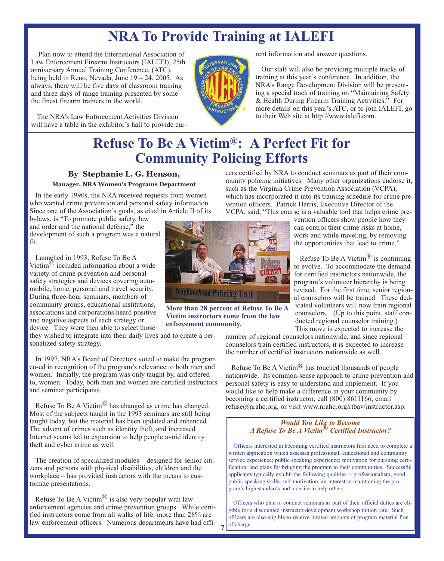# **NRA To Provide Training at IALEFI**

Plan now to attend the International Association of Law Enforcement Firearm Instructors (IALEFI), 25th anniversary Annual Training Conference, (ATC), being held in Reno, Nevada, June 19 – 24, 2005. As always, there will be five days of classroom training and three days of range training presented by some the finest firearm trainers in the world.

The NRA's Law Enforcement Activities Division will have a table in the exhibitor's hall to provide current information and answer questions.

Our staff will also be providing multiple tracks of training at this year's conference. In addition, the NRA's Range Development Division will be presenting a special track of training on "Maintaining Safety & Health During Firearm Training Activities." For more details on this year's ATC, or to join IALEFI, go to their Web site at http://www.ialefi.com.

# **Refuse To Be A Victim®: A Perfect Fit for Community Policing Efforts**

### **By Stephanie L. G. Henson,**

#### **Manager, NRA Women's Programs Department**

In the early 1990s, the NRA received requests from women who wanted crime prevention and personal safety information. Since one of the Association's goals, as cited in Article II of its

bylaws, is "To promote public safety, law and order and the national defense," the development of such a program was a natural fit.

Launched in 1993, Refuse To Be A Victim $^{\circledR}$  included information about a wide variety of crime prevention and personal safety strategies and devices covering automobile, home, personal and travel security. During three-hour seminars, members of community groups, educational institutions, associations and corporations heard positive and negative aspects of each strategy or device. They were then able to select those

they wished to integrate into their daily lives and to create a personalized safety strategy.

In 1997, NRA's Board of Directors voted to make the program co-ed in recognition of the program's relevance to both men and women. Initially, the program was only taught by, and offered to, women. Today, both men and women are certified instructors and seminar participants.

Refuse To Be A Victim® has changed as crime has changed. Most of the subjects taught in the 1993 seminars are still being taught today, but the material has been updated and enhanced. The advent of crimes such as identity theft, and increased Internet scams led to expansion to help people avoid identity theft and cyber crime as well.

The creation of specialized modules – designed for senior citizens and persons with physical disabilities, children and the workplace – has provided instructors with the means to customize presentations.

Refuse To Be A Victim<sup>®</sup> is also very popular with law enforcement agencies and crime prevention groups. While certified instructors come from all walks of life, more than 28% are law enforcement officers. Numerous departments have had offi-



**More than 28 percent of Refuse To Be A Victim instructors come from the law enforcement community.**

**7**

which has incorporated it into its training schedule for crime prevention officers. Patrick Harris, Executive Director of the VCPA, said, "This course is a valuable tool that helps crime prevention officers show people how they can control their crime risks at home,

cers certified by NRA to conduct seminars as part of their community policing initiatives. Many other organizations endorse it, such as the Virginia Crime Prevention Association (VCPA),

> work and while traveling, by removing the opportunities that lead to crime."

Refuse To Be A Victim<sup>®</sup> is continuing to evolve. To accommodate the demand for certified instructors nationwide, the program's volunteer hierarchy is being revised. For the first time, senior regional counselors will be trained. These dedicated volunteers will now train regional counselors. (Up to this point, staff conducted regional counselor training.) This move is expected to increase the

number of regional counselors nationwide, and since regional counselors train certified instructors, it is expected to increase the number of certified instructors nationwide as well.

Refuse To Be A Victim® has touched thousands of people nationwide. Its common-sense approach to crime prevention and personal safety is easy to understand and implement. If you would like to help make a difference in your community by becoming a certified instructor, call (800) 8611166, email refuse@nrahq.org, or visit www.nrahq.org/rtbav/instructor.asp.

#### *Would You Like to Become A Refuse To Be A Victim® Certified Instructor?*

Officers interested in becoming certified instructors first need to complete a written application which assesses professional, educational and community service experience; public speaking experience; motivation for pursuing certification; and plans for bringing the program to their communities. Successful applicants typically exhibit the following qualities -- professionalism, good public speaking skills, self-motivation, an interest in maintaining the program's high standards and a desire to help others.

Officers who plan to conduct seminars as part of their official duties are eligible for a discounted instructor development workshop tuition rate. Such officers are also eligible to receive limited amounts of program material free of charge.